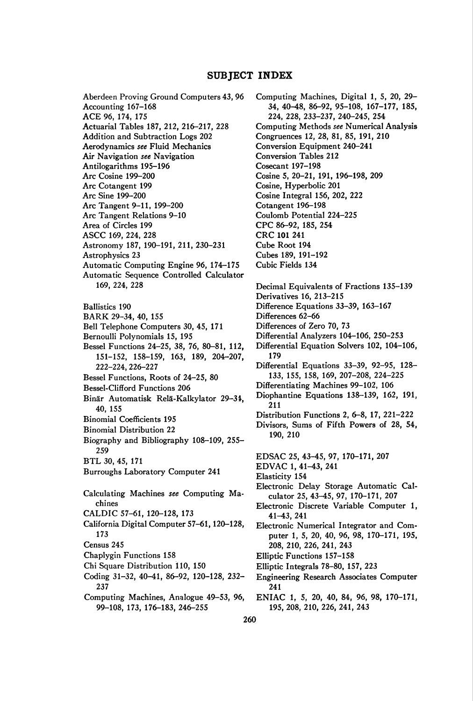### SUBJECT INDEX

Aberdeen Proving Ground Computers 43, 96 Accounting 167-168 ACE 96, 174, 175 Actuarial Tables 187, 212, 216-217, 228 Addition and Subtraction Logs 202 Aerodynamics see Fluid Mechanics Air Navigation see Navigation Antilogarithms 195-196 Arc Cosine 199-200 Arc Cotangent 199 Arc Sine 199-200 Arc Tangent 9-11, 199-200 Arc Tangent Relations 9-10 Area of Circles 199 ASCC 169, 224, 228 Astronomy 187, 190-191, 211, 230-231 Astrophysics 23 Automatic Computing Engine 96, 174-175 Automatic Sequence Controlled Calculator 169, 224, 228 Ballistics 190 BARK 29-34, 40, 155 Bell Telephone Computers 30, 45, 171 Bernoulli Polynomials 15, 195 Bessel Functions 24-25, 38, 76, 80-81, 112, 151-152, 158-159, 163, 189, 204-207, 222-224, 226-227 Bessel Functions, Roots of 24-25, 80 Bessel-Clifford Functions 206 Binär Automatisk Relä-Kalkylator 29-34, 40, 155 Binomial Coefficients 195 Binomial Distribution 22 Biography and Bibliography 108-109, 255- 259 BTL 30, 45, 171 Burroughs Laboratory Computer 241 Calculating Machines see Computing Machines CALDIC 57-61, 120-128, 173 California Digital Computer 57-61,120-128, 173 Census 245 Chaplygin Functions 158 Chi Square Distribution 110, 150 Coding 31-32, 40-41, 86-92, 120-128, 232- 237 Computing Machines, Analogue 49-53, 96, 99-108, 173, 176-183, 246-255

Computing Machines, Digital 1, 5, 20, 29- 34, 40^8, 86-92, 95-108, 167-177, 185, 224, 228, 233-237, 240-245, 254 Computing Methods see Numerical Analysis Congruences 12, 28, 81, 85, 191, 210 Conversion Equipment 240-241 Conversion Tables 212 Cosecant 197-198 Cosine 5, 20-21, 191, 196-198, 209 Cosine, Hyperbolic 201 Cosine Integral 156, 202, 222 Cotangent 196-198 Coulomb Potential 224-225 CPC 86-92, 185, 254 CRC 101 241 Cube Root 194 Cubes 189, 191-192 Cubic Fields 134 Decimal Equivalents of Fractions 135-139 Derivatives 16, 213-215 Difference Equations 33-39, 163-167 Differences 62-66 Differences of Zero 70, 73 Differential Analyzers 104-106, 250-253 Differential Equation Solvers 102, 104-106, 179 Differential Equations 33-39, 92-95, 128- 133, 155, 158, 169, 207-208, 224-225 Differentiating Machines 99-102, 106 Diophantine Equations 138-139, 162, 191, 211 Distribution Functions 2, 6-8, 17, 221-222 Divisors, Sums of Fifth Powers of 28, 54, 190, 210 EDSAC 25, 43-45, 97, 170-171, 207 EDVAC 1, 41-43, 241 Elasticity 154 Electronic Delay Storage Automatic Calculator 25, 43^5, 97, 170-171, 207 Electronic Discrete Variable Computer 1, 41-43, 241 Electronic Numerical Integrator and Computer 1, 5, 20, 40, 96, 98, 170-171, 195, 208, 210, 226, 241, 243 Elliptic Functions 157-158 Elliptic Integrals 78-80, 157, 223 Engineering Research Associates Computer 241 ENIAC 1, 5, 20, 40, 84, 96, 98, 170-171, 195, 208, 210, 226, 241, 243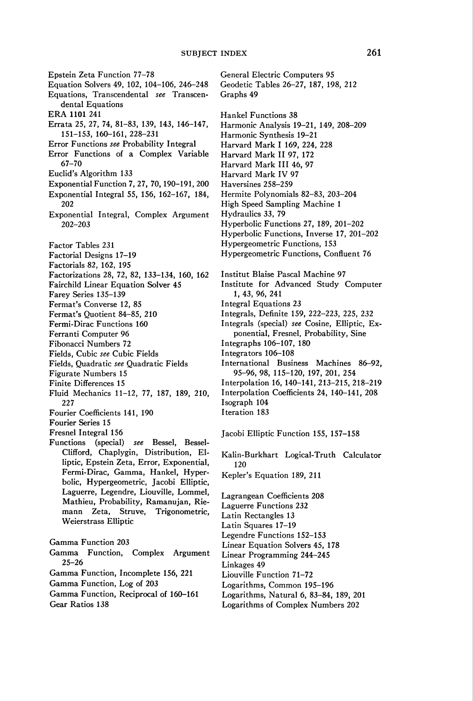Epstein Zeta Function 77-78 Equation Solvers 49, 102, 104-106, 246-248 Equations, Transcendental see Transcendental Equations ERA 1101 241 Errata 25, 27, 74, 81-83, 139, 143, 146-147, 151-153, 160-161, 228-231 Error Functions see Probability Integral Error Functions of a Complex Variable 67-70 Euclid's Algorithm 133 Exponential Function 7, 27, 70,190-191, 200 Exponential Integral 55, 156, 162-167, 184, 202 Exponential Integral, Complex Argument 202-203 Factor Tables 231 Factorial Designs 17-19 Factorials 82, 162, 195 Factorizations 28, 72, 82, 133-134, 160, 162 Fairchild Linear Equation Solver 45 Farey Series 135-139 Fermat's Converse 12, 85 Fermat's Quotient 84-85, 210 Fermi-Dirac Functions 160 Ferranti Computer 96 Fibonacci Numbers 72 Fields, Cubic see Cubic Fields Fields, Quadratic see Quadratic Fields Figurate Numbers 15 Finite Differences 15 Fluid Mechanics 11-12, 77, 187, 189, 210, 227 Fourier Coefficients 141, 190 Fourier Series 15 Fresnel Integral 156 Functions (special) see Bessel, Bessel-Clifford, Chaplygin, Distribution, Elliptic, Epstein Zeta, Error, Exponential, Fermi-Dirac, Gamma, Hankel, Hyperbolic, Hypergeometric, Jacobi Elliptic, Laguerre, Legendre, Liouville, Lommel, Mathieu, Probability, Ramanujan, Riemann Zeta, Struve, Trigonometric, Weierstrass Elliptic Gamma Function 203 Gamma Function, Complex Argument 25-26 Gamma Function, Incomplete 156, 221 Gamma Function, Log of 203 Gamma Function, Reciprocal of 160-161 Gear Ratios 138

General Electric Computers 95 Geodetic Tables 26-27, 187, 198, 212 Graphs 49 Hankel Functions 38 Harmonic Analysis 19-21, 149, 208-209 Harmonic Synthesis 19-21 Harvard Mark I 169, 224, 228 Harvard Mark II 97, 172 Harvard Mark III 46, 97 Harvard Mark IV 97 Haversines 258-259 Hermite Polynomials 82-83, 203-204 High Speed Sampling Machine 1 Hydraulics 33, 79 Hyperbolic Functions 27, 189, 201-202 Hyperbolic Functions, Inverse 17, 201-202 Hypergeometric Functions, 153 Hypergeometric Functions, Confluent 76 Institut Blaise Pascal Machine 97 Institute for Advanced Study Computer 1, 43, 96, 241 Integral Equations 23 Integrals, Definite 159, 222-223, 225, 232 Integrals (special) see Cosine, Elliptic, Exponential, Fresnel, Probability, Sine Integraphs 106-107, 180 Integrators 106-108 International Business Machines 86-92, 95-96, 98, 115-120, 197, 201, 254 Interpolation 16, 140-141, 213-215, 218-219 Interpolation Coefficients 24, 140-141, 208 Isograph 104 Iteration 183 Jacobi Elliptic Function 155, 157-158 Kalin-Burkhart Logical-Truth Calculator 120 Kepler's Equation 189, 211

Lagrangean Coefficients 208 Laguerre Functions 232 Latin Rectangles 13 Latin Squares 17-19 Legendre Functions 152-153 Linear Equation Solvers 45, 178 Linear Programming 244-245 Linkages 49 Liouville Function 71-72 Logarithms, Common 195-196 Logarithms, Natural 6, 83-84, 189, 201 Logarithms of Complex Numbers 202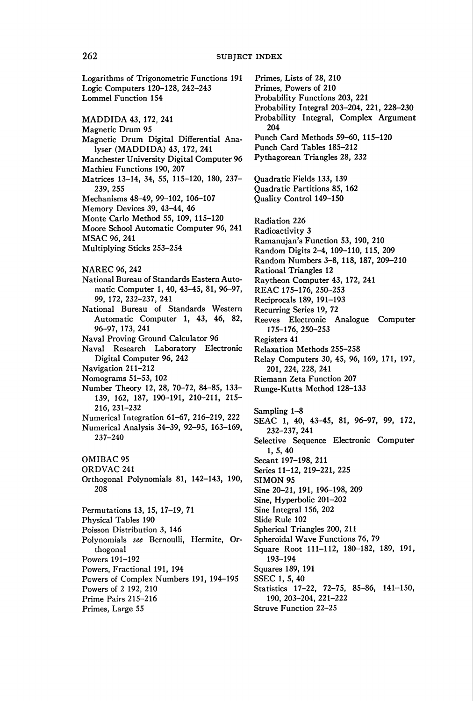# 262 SUBJECT INDEX

Logarithms of Trigonometric Functions 191 Logic Computers 120-128, 242-243 Lommel Function 154 MADDIDA 43, 172, 241 Magnetic Drum 95 Magnetic Drum Digital Differential Analyser (MADDIDA) 43, 172, 241 Manchester University Digital Computer 96 Mathieu Functions 190, 207 Matrices 13-14, 34, 55, 115-120, 180, 237- 239, 255 Mechanisms 48-49, 99-102, 106-107 Memory Devices 39, 43-44, 46 Monte Carlo Method 55, 109, 115-120 Moore School Automatic Computer 96, 241 MSAC 96, 241 Multiplying Sticks 253-254 NAREC 96, 242 National Bureau of Standards Eastern Automatic Computer 1, 40, 43-45, 81, 96-97, 99, 172, 232-237, 241 National Bureau of Standards Western Automatic Computer 1, 43, 46, 82, 96-97, 173, 241 Naval Proving Ground Calculator 96 Naval Research Laboratory Electronic Digital Computer 96, 242 Navigation 211-212 Nomograms 51-53, 102 Number Theory 12, 28, 70-72, 84-85, 133- 139, 162, 187, 190-191, 210-211, 215- 216, 231-232 Numerical Integration 61-67, 216-219, 222 Numerical Analysis 34-39, 92-95, 163-169, 237-240 OMIBAC 95 ORDVAC 241 Orthogonal Polynomials 81, 142-143, 190, 208 Permutations 13, 15, 17-19, 71 Physical Tables 190 Poisson Distribution 3, 146 Polynomials see Bernoulli, Hermite, Orthogonal Powers 191-192 Powers, Fractional 191, 194 Powers of Complex Numbers 191, 194-195 Powers of 2 192, 210 Prime Pairs 215-216

Primes, Large 55

Primes, Lists of 28, 210 Primes, Powers of 210 Probability Functions 203, 221 Probability Integral 203-204, 221, 228-230 Probability Integral, Complex Argument 204 Punch Card Methods 59-60, 115-120 Punch Card Tables 185-212 Pythagorean Triangles 28, 232 Quadratic Fields 133, 139 Quadratic Partitions 85, 162 Quality Control 149-150 Radiation 226 Radioactivity 3 Ramanujan's Function 53, 190, 210 Random Digits 2-4, 109-110, 115, 209 Random Numbers 3-8, 118, 187, 209-210 Rational Triangles 12 Raytheon Computer 43, 172, 241 REAC 175-176, 250-253 Reciprocals 189, 191-193 Recurring Series 19, 72 Reeves Electronic Analogue Computer 175-176, 250-253 Registers 41 Relaxation Methods 255-258 Relay Computers 30, 45, 96, 169, 171, 197, 201, 224, 228, 241 Riemann Zeta Function 207 Runge-Kutta Method 128-133 Sampling 1-8 SEAC 1, 40, 43-45, 81, 96-97, 99, 172, 232-237, 241 Selective Sequence Electronic Computer 1, 5, 40 Secant 197-198, 211 Series 11-12, 219-221, 225 SIMON 95 Sine 20-21, 191, 196-198, 209 Sine, Hyperbolic 201-202 Sine Integral 156, 202 Slide Rule 102 Spherical Triangles 200, 211 Spheroidal Wave Functions 76, 79 Square Root 111-112, 180-182, 189, 191, 193-194 Squares 189, 191 SSEC 1, 5, 40 Statistics 17-22, 72-75, 85-86, 141-150, 190, 203-204, 221-222 Struve Function 22-25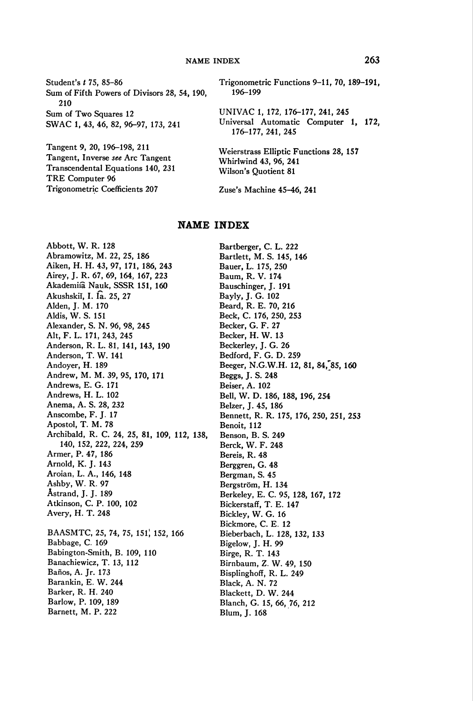Student's *t* 75, 85-86 Sum of Fifth Powers of Divisors 28, 54, 190, 210 Sum of Two Squares 12 SWAC 1, 43, 46, 82, 96-97, 173, 241

Tangent 9, 20, 196-198, 211 Tangent, Inverse see Arc Tangent Transcendental Equations 140, 231 TRE Computer 96 Trigonometric Coefficients 207

Trigonometric Functions 9-11, 70, 189-191, 196-199

UNIVAC 1, 172, 176–177, 241, 245 Universal Automatic Computer 1, 172, 176-177, 241, 245

Weierstrass Elliptic Functions 28, 157 Whirlwind 43, 96, 241 Wilson's Quotient 81

Zuse's Machine 45-46, 241

### **NAME INDEX**

Abbott, W. R. 128 Abramowitz, M. 22, 25, 186 Aiken, H. H. 43, 97, 171, 186, 243 Airey, J. R. 67, 69, 164, 167, 223 Akademiia Nauk, SSSR 151, 160 Akushskii, I. Ia. 25, 27 Alden, J. M. 170 Aldis, W. S. 151 Alexander, S. N. 96, 98, 245 Alt, F. L. 171, 243, 245 Anderson, R. L. 81, 141, 143, 190 Anderson, T. W. 141 Andoyer, H. 189 Andrew, M. M. 39, 95, 170, 171 Andrews, E. G. 171 Andrews, H. L. 102 Anema, A. S. 28, 232 Anscombe, F. J. 17 Apostol, T. M. 78 Archibald, R. C. 24, 25, 81, 109, 112, 138, 140, 152, 222, 224, 259 Armer, P. 47, 186 Arnold, K. J. 143 Aroian, L. A., 146, 148 Ashby, W. R. 97 Astrand, J. J. 189 Atkinson, C. P. 100, 102 Avery, H. T. 248 BAASMTC, 25, 74, 75, 151, 152, 166 Babbage, C. 169 Babington-Smith, B. 109, 110 Banachiewicz, T. 13, 112 Baños, A. Jr. 173 Barankin, E. W. 244 Barker, R. H. 240 Barlow, P. 109, 189 Barnett, M. P. 222

Bartberger, C. L. 222 Bartlett, M. S. 145, 146 Bauer, L. 175, 250 Baum, R. V. 174 Bauschinger, J. 191 Bayly, J. G. 102 Beard, R. E. 70, 216 Beck, C. 176, 250, 253 Becker, G. F. 27 Becker, H. W. 13 Beckerley, J. G. 26 Bedford, F. G. D. 259 Beeger, N.G.W.H. 12, 81, 84, 85, 160 Beggs, J. S. 248 Beiser, A. 102 Bell, W. D. 186, 188, 196, 254 Belzer, J. 45, 186 Bennett, R. R. 175, 176, 250, 251, 253 Benoit, 112 Benson, B. S. 249 Berck, W. F. 248 Bereis, R. 48 Berggren, G. 48 Bergman, S. 45 Bergström, H. 134 Berkeley, E. C. 95, 128, 167, 172 Bickerstaff, T. E. 147 Bickley, W. G. 16 Bickmore, C. E. 12 Bieberbach, L. 128, 132, 133 Bigelow, J. H. 99 Birge, R. T. 143 Birnbaum, Z. W. 49, 150 Bisplinghoff, R. L. 249 Black, A. N. 72 Blackett, D. W. 244 Blanch, G. 15, 66, 76, 212 Blum, J. 168

### 263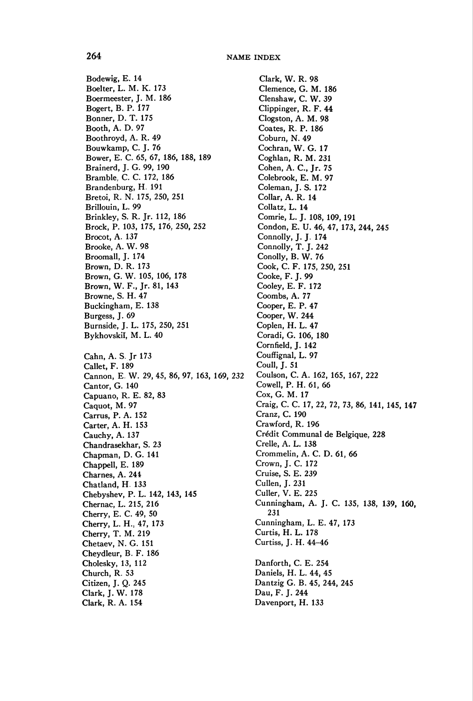Bodewig, E. 14 Boelter, L. M. K. 173 Boermeester, J. M. 186 Bogert, B. P. 177 Bonner, D. T. 175 Booth, A. D. 97 Boothroyd, A. R. 49 Bouwkamp, C. J. 76 Bower, E. C. 65, 67, 186, 188, 189 Brainerd, J. G. 99, 190 Bramble, C. C. 172, 186 Brandenburg, H. 191 Bretoi, R. N. 175, 250, 251 Brillouin, L. 99 Brinkley, S. R. Jr. 112, 186 Brock, P. 103, 175, 176, 250, 252 Brocot, A. 137 Brooke, A. W. 98 Broomall, J. 174 Brown, D. R. 173 Brown, G. W. 105, 106, 178 Brown, W. F., Jr. 81, 143 Browne, S. H. 47 Buckingham, E. 138 Burgess, J. 69 Burnside, J. L. 175, 250, 251 Bykhovskiï, M. L. 40 Cahn, A. S. Jr 173 Callet, F. 189 Cannon, E. W. 29, 45, 86, 97, 163, 169, Cantor, G. 140 Capuano, R. E. 82, 83 Caquot, M. 97 Carrus, P. A. 152 Carter, A. H. 153 Cauchy, A. 137 Chandrasekhar, S. 23 Chapman, D. G. 141 Chappell, E. 189 Chames, A. 244 Chatland, H. 133 Chebyshev, P. L. 142, 143, 145 Chernac, L. 215, 216 Cherry, E. C. 49, 50 Cherry, L. H., 47, 173 Cherry, T. M. 219 Chetaev, N. G. 151 Cheydleur, B. F. 186 Cholesky, 13, 112 Church, R. 53 Citizen, J. Q. 245 Clark, J. W. 178 Clark, R. A. 154

Clark, W. R. 98 Clemence, G. M. 186 Clenshaw, C. W. 39 Clippinger, R. F. 44 Clogston, A. M. 98 Coates, R. P. 186 Coburn, N. 49 Cochran, W. G. 17 Coghlan, R. M. 231 Cohen, A. C, Jr. 75 Colebrook, E. M. 97 Coleman, J. S. 172 Collar, A. R. 14 Collatz, L. 14 Comrie, L. J. 108, 109, 191 Condon, E. U. 46, 47, 173, 244, 245 Connolly, J. J. 174 Connolly, T. J. 242 Conolly, B. W. 76 Cook, C. F. 175, 250, 251 Cooke, F. J. 99 Cooley, E. F. 172 Coombs, A. 77 Cooper, E. P. 47 Cooper, W. 244 Copien, H. L. 47 Coradi, G. 106, 180 Cornfield, J. 142 Couffignal, L. 97 Coull, J. 51 Coulson, C. A. 162, 165, 167, 222 Cowell, P. H. 61, 66 Cox, G. M. 17 Craig, C. C. 17, 22, 72, 73, 86, 141, 145, 147 Cranz, C. 190 Crawford, R. 196 Crédit Communal de Belgique, 228 Crelle, A. L. 138 Crommelin, A. C. D. 61, 66 Crown, J. C. 172 Cruise, S. E. 239 Cullen, J. 231 Culler, V. E. 225 Cunningham, A. J. C. 135, 138, 139, 160, 231 Cunningham, L. E. 47, 173 Curtis, H. L. 178 Curtiss, J. H. 44-46 Danforth, C. E. 254 Daniels, H. L. 44, 45 Dantzig G. B. 45, 244, 245 Dau, F. J. 244 Davenport, H. 133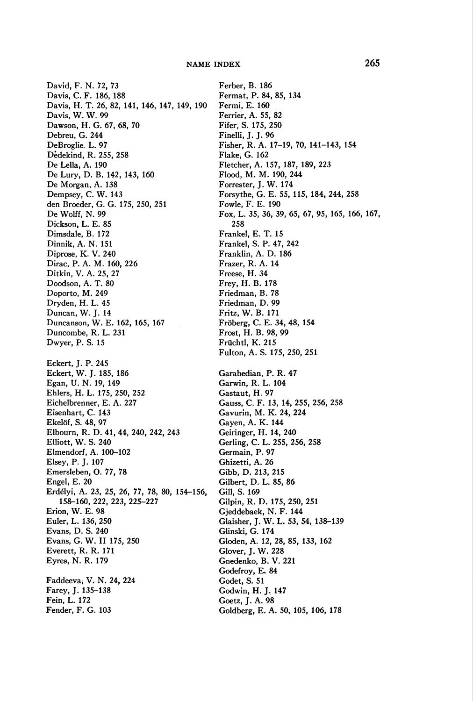David, F. N. 72, 73 Davis, C. F. 186, 188 Davis, H. T. 26, 82, 141, 146, 147, 149, 190 Davis, W. W. 99 Dawson, H. G. 67, 68, 70 Debreu, G. 244 DeBroglie, L. 97 Dedekind, R. 255, 258 De Lella, A. 190 De Lury, D. B. 142, 143, 160 De Morgan, A. 138 Dempsey, C. W. 143 den Broeder, G. G. 175, 250, 251 De Wolff, N. 99 Dickson, L. E. 85 Dimsdale, B. 172 Dinnik, A. N. 151 Diprose, K. V. 240 Dirac, P. A. M. 160, 226 Ditkin, V. A. 25, 27 Doodson, A. T. 80 Doporto, M. 249 Dryden, H. L. 45 Duncan, W. J. 14 Duncanson, W. E. 162, 165, 167 Duncombe, R. L. 231 Dwyer, P. S. 15 Eckert, J. P. 245 Eckert, W. J. 185, 186 Egan, U. N. 19, 149 Ehlers, H. L. 175, 250, 252 Eichelbrenner, E. A. 227 Eisenhart, C. 143 Ekelöf, S. 48, 97 Elbourn, R. D. 41, 44, 240, 242, 243 Elliott, W. S. 240 Elmendorf, A. 100-102 Elsey, P. J. 107 Emersleben, O. 77, 78 Engel, E. 20 Erdélyi, A. 23, 25, 26, 77, 78, 80, 154-156, 158-160, 222, 223, 225-227 Erion, W. E. 98 Euler, L. 136, 250 Evans, D. S. 240 Evans, G. W. II 175, 250 Everett, R. R. 171 Eyres, N. R. 179 Faddeeva, V. N. 24, 224 Farey, J. 135-138 Fein, L. 172 Fender, F. G. 103

Ferber, B. 186 Fermat, P. 84, 85, 134 Fermi, E. 160 Ferrier, A. 55, 82 Fifer, S. 175, 250 Finelli, J. J. 96 Fisher, R. A. 17-19, 70, 141-143, 154 Flake, G. 162 Fletcher, A. 157, 187, 189, 223 Flood, M. M. 190, 244 Forrester, J. W. 174 Forsythe, G. E. 55, 115, 184, 244, 258 Fowle, F. E. 190 Fox, L. 35, 36, 39, 65, 67, 95, 165, 166, 167, 258 Frankel, E. T. 15 Frankel, S. P. 47, 242 Franklin, A. D. 186 Frazer, R. A. 14 Freese, H. 34 Frey, H. B. 178 Friedman, B. 78 Friedman, D. 99 Fritz, W. B. 171 Fröberg, C. E. 34, 48, 154 Frost, H. B. 98, 99 Früchtl, K. 215 Fulton, A. S. 175, 250, 251 Garabedian, P. R. 47 Garwin, R. L. 104 Gastaut, H. 97 Gauss, C. F. 13, 14, 255, 256, 258 Gavurin, M. K. 24, 224 Gayen, A. K. 144 Geiringer, H. 14, 240 Gerling, C. L. 255, 256, 258 Germain, P. 97 Ghizetti, A. 26 Gibb, D. 213, 215 Gilbert, D. L. 85, 86 Gill, S. 169 Gilpin, R. D. 175, 250, 251 Gjeddebaek, N. F. 144 Glaisher, J. W. L. 53, 54, 138-139 Glinski, G. 174 Gloden, A. 12, 28, 85, 133, 162 Glover, J. W. 228 Gnedenko, B. V. 221 Godefroy, E. 84 Godet, S. 51 Godwin, H. J. 147 Goetz, J. A. 98 Goldberg, E. A. 50, 105, 106, 178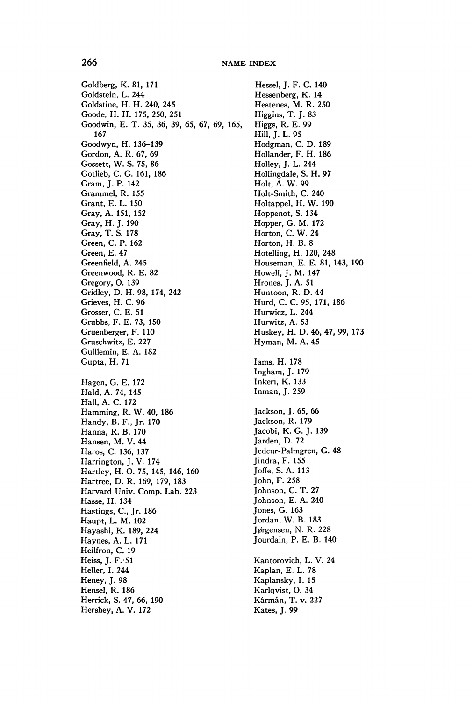Goldberg, K. 81, 171 Goldstein, L. 244 Goldstine, H. H. 240, 245 Goode, H. H. 175, 250, 251 Goodwin, E. T. 35, 36, 39, 65, 67, 69, 165, 167 Goodwyn, H. 136-139 Gordon, A. R. 67, 69 Gossett, W. S. 75, 86 Gotlieb, C. G. 161, 186 Gram, J. P. 142 Grammel, R. 155 Grant, E. L. 150 Gray, A. 151, 152 Gray, H. J. 190 Gray, T. S. 178 Green, C. P. 162 Green, E. 47 Greenfield, A. 245 Greenwood, R. E. 82 Gregory, O. 139 Gridley, D. H. 98, 174, 242 Grieves, H. C. 96 Grosser, C. E. 51 Grubbs, F. E. 73, 150 Gruenberger, F. 110 Gruschwitz, E. 227 Guillemin, E. A. 182 Gupta, H. 71 Hagen, G. E. 172 Hald, A. 74, 145 Hall, A. C. 172 Hamming, R. W. 40, 186 Handy, B. F., Jr. 170 Hanna, R. B. 170 Hansen, M. V. 44 Haros, C. 136, 137 Harrington, J. V. 174 Hartley, H. O. 75, 145, 146, 160 Hartree, D. R. 169, 179, 183 Harvard Univ. Comp. Lab. 223 Hasse, H. 134 Hastings, C, Jr. 186 Haupt, L. M. 102 Hayashi, K. 189, 224 Haynes, A. L. 171 Heilfron, C. 19 Heiss, J. F.  $51$ Heller, I. 244 Heney, J. 98 Hensel, R. 186 Herrick, S. 47, 66, 190 Hershey, A. V. 172

Hessel, J. F. C. 140 Hessenberg, K. 14 Hestenes, M. R. 250 Higgins, T. J. 83 Higgs, R. E. 99 Hill, J. L. 95 Hodgman. C. D. 189 Hollander, F. H. 186 Holley, J. L. 244 Hollingdale, S. H. 97 Holt, A. W. 99 Holt-Smith, C. 240 Holtappel, H. W. 190 Hoppenot, S. 134 Hopper, G. M. 172 Horton, C. W. 24 Horton, H. B. 8 Hotelling, H. 120, 248 Houseman, E. E. 81, 143, 190 Howell, J. M. 147 Hrones, J. A. 51 Huntoon, R. D. 44 Hurd, C. C. 95, 171, 186 Hurwicz, L. 244 Hurwitz, A. 53 Huskey, H. D. 46, 47, 99, 173 Hyman, M. A. 45 Iams, H. 178 Ingham, J. 179 Inkeri, K. 133 Inman, J. 259 Jackson, J. 65, 66 Jackson, R. 179 Jacobi, K. G. J. 139 Jarden, D. 72 Jedeur-Palmgren, G. 48 Jindra, F. 155 Joffe, S. A. 113 John, F. 258 Johnson, C. T. 27 Johnson, E. A. 240 Jones, G. 163 Jordan, W. B. 183 Jorgensen, N. R. 228 Jourdain, P. E. B. 140 Kantorovich, L. V. 24 Kaplan, E. L. 78 Kaplansky, I. 15 Karlqvist, O. 34 Kármán, T. v. 227 Kates, J. 99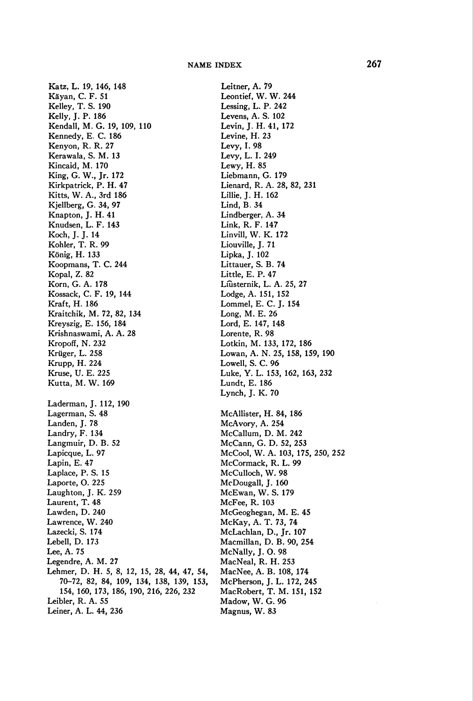Katz, L. 19, 146, 148 Käyan, C. F. 51 Kelley, T. S. 190 Kelly, J. P. 186 Kendall, M. G. 19, 109, 110 Kennedy, E. C. 186 Kenyon, R. R. 27 Kerawala, S. M. 13 Kincaid, M. 170 King, G. W., Jr. 172 Kirkpatrick, P. H. 47 Kitts, W. A., 3rd 186 Kjellberg, G. 34, 97 Knapton, J. H. 41 Knudsen, L. F. 143 Koch, J. J. 14 Köhler, T. R. 99 König, H. 133 Koopmans, T. C. 244 Kopal, Z. 82 Korn, G. A. 178 Kossack, C. F. 19, 144 Kraft, H. 186 Kraitchik, M. 72, 82, 134 Kreyszig, E. 156, 184 Krishnaswami, A. A. 28 Kropoff, N. 232 Krüger, L. 258 Krupp, H. 224 Kruse, U. E. 225 Kutta, M. W. 169 Laderman, J. 112, 190 Lagerman, S. 48 Landen, J. 78 Landry, F. 134 Langmuir, D. B. 52 Lapicque, L. 97 Lapin, E. 47 Laplace, P. S. 15 Laporte, O. 225 Laughton, J. K. 259 Laurent, T. 48 Lawden, D. 240 Lawrence, W. 240 Lazecki, S. 174 Lebell, D. 173 Lee, A. 75 Legendre, A. M. 27 Lehmer, D. H. 5, 8, 12, 15, 28, 44, 47, 54, 70-72, 82, 84, 109, 134, 138, 139, 153, 154, 160, 173, 186, 190, 216, 226, 232 Leibler, R. A. 55 Leiner, A. L. 44, 236

Leitner, A. 79 Leontief, W. W. 244 Lessing, L. P. 242 Levens, A. S. 102 Levin, J. H. 41, 172 Levine, H. 23 Levy, I. 98 Levy, L. I. 249 Lewy, H. 85 Liebmann, G. 179 Lienard, R. A. 28, 82, 231 Lillie, J. H. 162 Lind, B. 34 Lindberger, A. 34 Link, R. F. 147 Linvill, W. K. 172 Liouville, J. 71 Lipka, J. 102 Littauer, S. B. 74 Little, E. P. 47 Liùsternik, L. A. 25, 27 Lodge, A. 151, 152 Lommel, E. C. J. 154 Long, M. E. 26 Lord, E. 147, 148 Lorente, R. 98 Lotkin, M. 133, 172, 186 Lowan, A. N. 25, 158, 159, 190 Lowell, S. C. 96 Luke, Y. L. 153, 162, 163, 232 Lundt, E. 186 Lynch, J. K. 70 McAllister, H. 84, 186 McAvory, A. 254 McCallum, D. M. 242 McCann, G. D. 52, 253 McCool, W. A. 103, 175, 250, 252 McCormack, R. L. 99 McCulloch, W. 98 McDougall, J. 160 McEwan, W. S. 179 McFee, R. 103 McGeoghegan, M. E. 45 McKay, A. T. 73, 74 McLachlan, D., Jr. 107 Macmillan, D. B. 90, 254 McNally, J. O. 98 MacNeal, R. H. 253 MacNee, A. B. 108, 174 McPherson, J. L. 172, 245 MacRobert, T. M. 151, 152 Madow, W. G. 96 Magnus, W. 83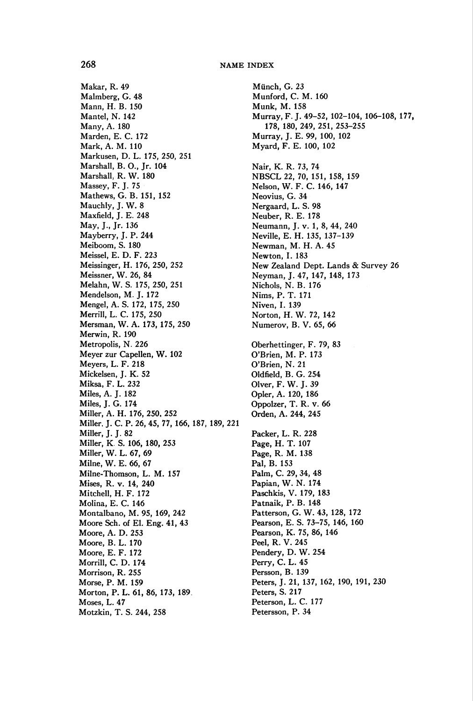Makar, R. 49 Malmberg, G. 48 Mann, H. B. 150 Mantel, N. 142 Many, A. 180 Marden, E. C. 172 Mark, A. M. 110 Markusen, D. L. 175, 250, 251 Marshall, B. O., Jr. 104 Marshall, R. W. 180 Massey, F. J. 75 Mathews, G. B. 151, 152 Mauchly, J. W. 8 Maxfield, J. E. 248 May, J., Jr. 136 Mayberry, J. P. 244 Meiboom, S. 180 Meissel, E. D. F. 223 Meissinger, H. 176, 250, 252 Meissner, W. 26, 84 Melahn, W. S. 175, 250, 251 Mendelson, M. J. 172 Mengel, A. S. 172, 175, 250 Merrill, L. C. 175, 250 Mersman, W. A. 173, 175, 250 Merwin, R. 190 Metropolis, N. 226 Meyer zur Capellen, W. 102 Meyers, L. F. 218 Mickelsen, J. K. 52 Miksa, F. L. 232 Miles, A. J. 182 Miles, J. G. 174 Miller, A. H. 176, 250, 252 Miller, J. C. P. 26, 45, 77, 166, 187, 189, 221 Miller, J. J. 82 Miller, K S. 106, 180, 253 Miller, W. L. 67, 69 Milne, W. E. 66, 67 Milne-Thomson, L. M. 157 Mises, R. v. 14, 240 Mitchell, H. F. 172 Molina, E. C. 146 Montalbano, M. 95, 169, 242 Moore Sch. of EI. Eng. 41, 43 Moore, A. D. 253 Moore, B. L. 170 Moore, E. F. 172 Morrill, C. D. 174 Morrison, R. 255 Morse, P. M. 159 Morton, P. L. 61, 86, 173, 189. Moses, L. 47 Motzkin, T. S. 244, 258

Münch, G. 23 Munford, C. M. 160 Munk, M. 158 Murray, F. J. 49-52, 102-104, 106-108, 177, 178, 180, 249, 251, 253-255 Murray, J. E. 99, 100, 102 Myard, F. E. 100, 102 Nair, K. R. 73, 74 NBSCL22, 70, 151, 158, 159 Nelson, W. F. C. 146, 147 Neovius, G. 34 Nergaard, L. S. 98 Neuber, R. E. 178 Neumann, J. v. 1, 8, 44, 240 Neville, E. H. 135, 137-139 Newman, M. H. A. 45 Newton, I. 183 New Zealand Dept. Lands & Survey 26 Neyman, J. 47, 147, 148, 173 Nichols, N. B. 176 Nims, P. T. 171 Niven, I. 139 Norton, H. W. 72, 142 Numerov, B. V. 65, 66 Oberhettinger, F. 79, 83 O'Brien, M. P. 173 O'Brien, N. 21 Oldfield, B. G. 254 Olver, F. W. J. 39 Opler, A. 120, 186 Oppolzer, T. R. v. 66 Orden, A. 244, 245 Packer, L. R. 228 Page, H. T. 107 Page, R. M. 138 Pal, B. 153 Palm, C. 29, 34, 48 Papian, W. N. 174 Paschkis, V. 179, 183 Patnaik, P. B. 148 Patterson, G. W. 43, 128, 172 Pearson, E. S. 73-75, 146, 160 Pearson, K. 75, 86, 146 Peel, R. V. 245 Pendery, D. W. 254 Perry, C. L. 45 Persson, B. 139 Peters, J. 21, 137, 162, 190, 191, 230 Peters, S. 217 Peterson, L. C. 177 Petersson, P. 34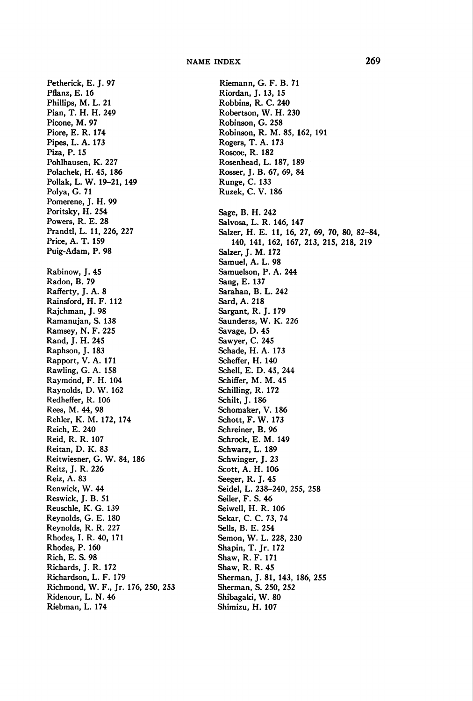Petherick, E. J. 97 Pflanz, E. 16 Phillips, M. L. 21 Pian, T. H. H. 249 Picone, M. 97 Piore, E. R. 174 Pipes, L. A. 173 Piza, P. 15 Pohlhausen, K. 227 Polachek, H. 45, 186 Pollak, L. W. 19-21, 149 Polya, G. 71 Pomerene, J. H. 99 Poritsky, H. 254 Powers, R. E. 28 Prandtl, L. 11, 226, 227 Price, A. T. 159 Puig-Adam, P. 98 Rabinow, J. 45 Radon, B. 79 Rafferty, J. A. 8 Rainsford, H. F. 112 Rajchman, J. 98 Ramanujan, S. 138 Ramsey, N. F. 225 Rand, J. H. 245 Raphson, J. 183 Rapport, V. A. 171 Rawling, G. A. 158 Raymond, F. H. 104 Raynolds, D. W. 162 Redheffer, R. 106 Rees, M. 44, 98 Rehler, K. M. 172, 174 Reich, E. 240 Reid, R. R. 107 Reitan, D. K. 83 Reitwiesner, G. W. 84, 186 Reitz, J. R. 226 Reiz, A. 83 Renwick, W. 44 Reswick, J. B. 51 Reuschle, K. G. 139 Reynolds, G. E. 180 Reynolds, R. R. 227 Rhodes, I. R. 40, 171 Rhodes, P. 160 Rich, E. S. 98 Richards, J. R. 172 Richardson, L. F. 179 Richmond, W. F., Jr. 176, 250, 253 Ridenour, L. N. 46 Riebman, L. 174

Riemann, G. F. B. 71 Riordan, J. 13, 15 Robbins, R. C. 240 Robertson, W. H. 230 Robinson, G. 258 Robinson, R. M. 85, 162, 191 Rogers, T. A. 173 Roscoe, R. 182 Rosenhead, L. 187, 189 Rosser, J. B. 67, 69, 84 Runge, C. 133 Ruzek, C. V. 186 Sage, B. H. 242 Salvosa, L. R. 146, 147 Salzer, H. E. 11, 16, 27, 69, 70, 80, 82-84, 140, 141, 162, 167, 213, 215, 218, 219 Salzer, J. M. 172 Samuel, A. L. 98 Samuelson, P. A. 244 Sang, E. 137 Sarahan, B. L. 242 Sard,A. 218 Sargant, R. J. 179 Saunderss, W. K. 226 Savage, D. 45 Sawyer, C. 245 Schade, H. A. 173 Scheffer, H. 140 Schell, E. D. 45, 244 Schiffer, M. M. 45 Schilling, R. 172 Schilt, J. 186 Schomakër, V. 186 Schott, F. W. 173 Schreiner, B. 96 Schrock, E. M. 149 Schwarz, L. 189 Schwinger, J. 23 Scott, A. H. 106 Seeger, R. J. 45 Seidel, L. 238-240, 255, 258 Seiler, F. S. 46 Seiwell, H. R. 106 Sekar, C. C. 73, 74 Sells, B. E. 254 Semon, W. L. 228, 230 Shapin, T. Jr. 172 Shaw, R. F. 171 Shaw, R. R. 45 Sherman, J. 81, 143, 186, 255 Sherman, S. 250, 252 Shibagaki, W. 80 Shimizu, H. 107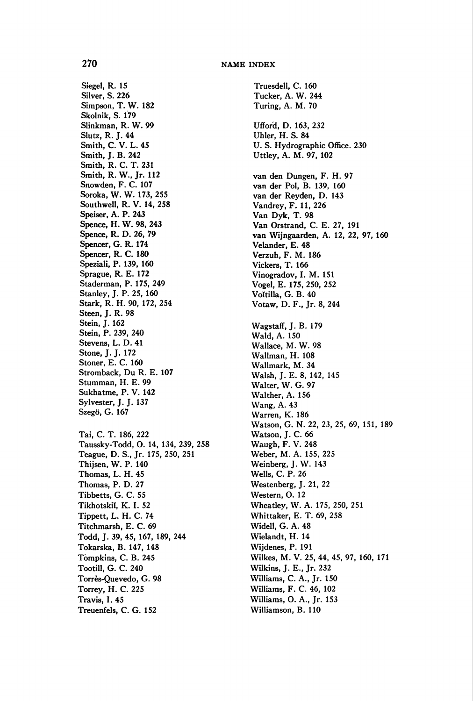Siegel, R. 15 Silver, S. 226 Simpson, T. W. 182 Skolnik, S. 179 Slinkman, R. W. 99 Slutz, R. J. 44 Smith, C. V. L. 45 Smith, J. B. 242 Smith, R. C. T. 231 Smith, R. W., Jr. 112 Snowden, F. C. 107 Soroka, W. W. 173, 255 Southwell, R. V. 14, 258 Speiser, A. P. 243 Spence, H. W. 98, 243 Spence, R. D. 26, 79 Spencer, G. R. 174 Spencer, R. C. 180 Speziali, P. 139, 160 Sprague, R. E. 172 Staderman, P. 175, 249 Stanley, J. P. 25, 160 Stark, R. H. 90, 172, 254 Steen, J. R. 98 Stein, J. 162 Stein, P. 239, 240 Stevens, L. D. 41 Stone, J. J. 172 Stoner, E. C. 160 Stromback, Du R. E. 107 Stumman, H. E. 99 Sukhatme, P. V. 142 Sylvester, J. J. 137 Szegö, G. 167 Tai, C. T. 186, 222 Taussky-Todd, O. 14, 134, 239, 258 Teague, D. S., Jr. 175, 250, 251 Thijsen, W. P. 140 Thomas, L. H. 45 Thomas, P. D. 27 Tibbetts, G. C. 55 Tikhotskiï, K. I. 52 Tippett, L. H. C. 74 Titchmarsh, E. C. 69 Todd, J. 39, 45, 167, 189, 244 Tokarska, B. 147, 148 Tompkins, C. B. 245 Tootill, G. C. 240 Torrès-Quevedo, G. 98 Torrey, H. C. 225

Travis, I. 45 Treuenfels, C. G. 152

Truesdell, C. 160 Tucker, A. W. 244 Turing, A. M. 70 Ufford, D. 163, 232 Uhler, H. S. 84 U. S. Hydrographie Office. 230 Uttley, A. M. 97, 102 van den Dungen, F. H. 97 van der Pol, B. 139, 160 van der Reyden, D. 143 Vandrey, F. 11, 226 Van Dyk, T. 98 Van Orstrand, C. E. 27, 191 van Wijngaarden, A. 12, 22, 97, 160 Velander, E. 48 Verzuh, F. M. 186 Vickers, T. 166 Vinogradov, I. M. 151 Vogel, E. 175, 250, 252 Voltilla, G. B. 40 Votaw, D. F., Jr. 8, 244 Wagstaff, J. B. 179 Wald, A. 150 Wallace, M. W. 98 Wallman, H. 108 Wallmark, M. 34 Walsh, J. E. 8, 142, 145 Walter, W. G. 97 Walther, A. 156 Wang, A. 43 Warren, K. 186 Watson, G. N. 22, 23, 25, 69, 151, 189 Watson, J. C. 66 Waugh, F. V. 248 Weber, M. A. 155, 225 Weinberg, J. W. 143 Wells, C. P. 26 Westenberg, J. 21, 22 Western, O. 12 Wheatley, W. A. 175, 250, 251 Whittaker, E. T. 69, 258 Widell, G. A. 48 Wielandt, H. 14 Wijdenes, P. 191 Wilkes, M. V. 25, 44, 45, 97, 160, 171 Wilkins, J. E., Jr. 232 Williams, C. A., Jr. 150 Williams, F. C. 46, 102 Williams, O. A., Jr. 153 Williamson, B. 110